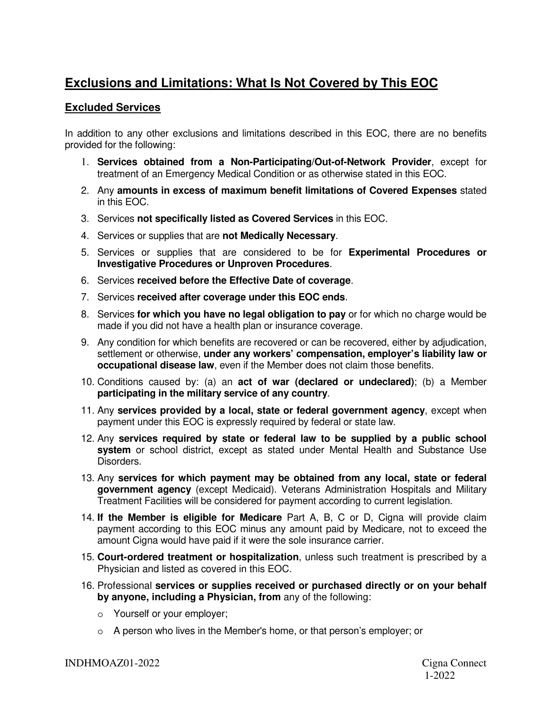## **Exclusions and Limitations: What Is Not Covered by This EOC**

## **Excluded Services**

In addition to any other exclusions and limitations described in this EOC, there are no benefits provided for the following:

- 1. **Services obtained from a Non-Participating/Out-of-Network Provider**, except for treatment of an Emergency Medical Condition or as otherwise stated in this EOC.
- 2. Any **amounts in excess of maximum benefit limitations of Covered Expenses** stated in this EOC.
- 3. Services **not specifically listed as Covered Services** in this EOC.
- 4. Services or supplies that are **not Medically Necessary**.
- 5. Services or supplies that are considered to be for **Experimental Procedures or Investigative Procedures or Unproven Procedures**.
- 6. Services **received before the Effective Date of coverage**.
- 7. Services **received after coverage under this EOC ends**.
- 8. Services **for which you have no legal obligation to pay** or for which no charge would be made if you did not have a health plan or insurance coverage.
- 9. Any condition for which benefits are recovered or can be recovered, either by adjudication, settlement or otherwise, **under any workers' compensation, employer's liability law or occupational disease law**, even if the Member does not claim those benefits.
- 10. Conditions caused by: (a) an **act of war (declared or undeclared)**; (b) a Member **participating in the military service of any country**.
- 11. Any **services provided by a local, state or federal government agency**, except when payment under this EOC is expressly required by federal or state law.
- 12. Any **services required by state or federal law to be supplied by a public school system** or school district, except as stated under Mental Health and Substance Use Disorders.
- 13. Any **services for which payment may be obtained from any local, state or federal government agency** (except Medicaid). Veterans Administration Hospitals and Military Treatment Facilities will be considered for payment according to current legislation.
- 14. **If the Member is eligible for Medicare** Part A, B, C or D, Cigna will provide claim payment according to this EOC minus any amount paid by Medicare, not to exceed the amount Cigna would have paid if it were the sole insurance carrier.
- 15. **Court-ordered treatment or hospitalization**, unless such treatment is prescribed by a Physician and listed as covered in this EOC.
- 16. Professional **services or supplies received or purchased directly or on your behalf by anyone, including a Physician, from** any of the following:
	- o Yourself or your employer;
	- o A person who lives in the Member's home, or that person's employer; or

INDHMOAZ01-2022 Cigna Connect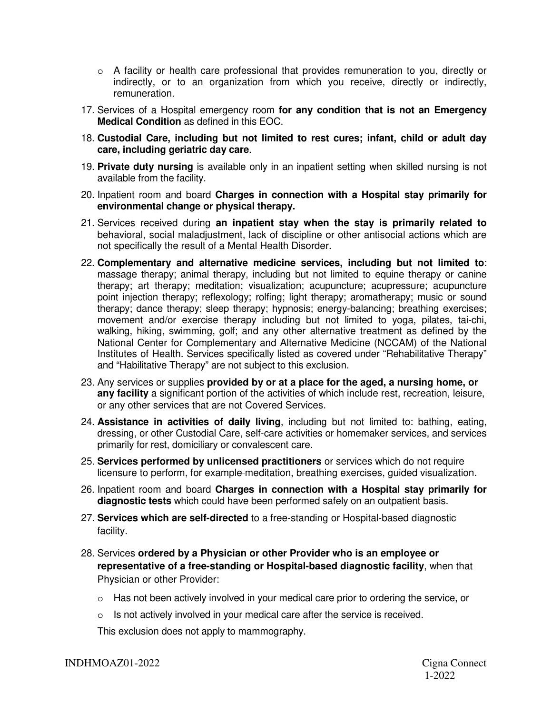- $\circ$  A facility or health care professional that provides remuneration to you, directly or indirectly, or to an organization from which you receive, directly or indirectly, remuneration.
- 17. Services of a Hospital emergency room **for any condition that is not an Emergency Medical Condition** as defined in this EOC.
- 18. **Custodial Care, including but not limited to rest cures; infant, child or adult day care, including geriatric day care**.
- 19. **Private duty nursing** is available only in an inpatient setting when skilled nursing is not available from the facility.
- 20. Inpatient room and board **Charges in connection with a Hospital stay primarily for environmental change or physical therapy.**
- 21. Services received during **an inpatient stay when the stay is primarily related to**  behavioral, social maladjustment, lack of discipline or other antisocial actions which are not specifically the result of a Mental Health Disorder.
- 22. **Complementary and alternative medicine services, including but not limited to**: massage therapy; animal therapy, including but not limited to equine therapy or canine therapy; art therapy; meditation; visualization; acupuncture; acupressure; acupuncture point injection therapy; reflexology; rolfing; light therapy; aromatherapy; music or sound therapy; dance therapy; sleep therapy; hypnosis; energy-balancing; breathing exercises; movement and/or exercise therapy including but not limited to yoga, pilates, tai-chi, walking, hiking, swimming, golf; and any other alternative treatment as defined by the National Center for Complementary and Alternative Medicine (NCCAM) of the National Institutes of Health. Services specifically listed as covered under "Rehabilitative Therapy" and "Habilitative Therapy" are not subject to this exclusion.
- 23. Any services or supplies **provided by or at a place for the aged, a nursing home, or any facility** a significant portion of the activities of which include rest, recreation, leisure, or any other services that are not Covered Services.
- 24. **Assistance in activities of daily living**, including but not limited to: bathing, eating, dressing, or other Custodial Care, self-care activities or homemaker services, and services primarily for rest, domiciliary or convalescent care.
- 25. **Services performed by unlicensed practitioners** or services which do not require licensure to perform, for example meditation, breathing exercises, guided visualization.
- 26. Inpatient room and board **Charges in connection with a Hospital stay primarily for diagnostic tests** which could have been performed safely on an outpatient basis.
- 27. **Services which are self-directed** to a free-standing or Hospital-based diagnostic facility.
- 28. Services **ordered by a Physician or other Provider who is an employee or representative of a free-standing or Hospital-based diagnostic facility**, when that Physician or other Provider:
	- $\circ$  Has not been actively involved in your medical care prior to ordering the service, or
	- o Is not actively involved in your medical care after the service is received.

This exclusion does not apply to mammography.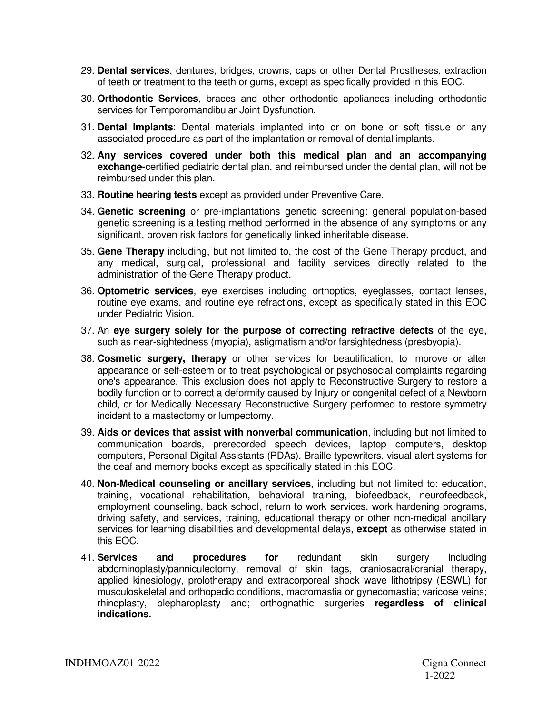- 29. **Dental services**, dentures, bridges, crowns, caps or other Dental Prostheses, extraction of teeth or treatment to the teeth or gums, except as specifically provided in this EOC.
- 30. **Orthodontic Services**, braces and other orthodontic appliances including orthodontic services for Temporomandibular Joint Dysfunction.
- 31. **Dental Implants**: Dental materials implanted into or on bone or soft tissue or any associated procedure as part of the implantation or removal of dental implants.
- 32. **Any services covered under both this medical plan and an accompanying exchange-**certified pediatric dental plan, and reimbursed under the dental plan, will not be reimbursed under this plan.
- 33. **Routine hearing tests** except as provided under Preventive Care.
- 34. **Genetic screening** or pre-implantations genetic screening: general population-based genetic screening is a testing method performed in the absence of any symptoms or any significant, proven risk factors for genetically linked inheritable disease.
- 35. **Gene Therapy** including, but not limited to, the cost of the Gene Therapy product, and any medical, surgical, professional and facility services directly related to the administration of the Gene Therapy product.
- 36. **Optometric services**, eye exercises including orthoptics, eyeglasses, contact lenses, routine eye exams, and routine eye refractions, except as specifically stated in this EOC under Pediatric Vision.
- 37. An **eye surgery solely for the purpose of correcting refractive defects** of the eye, such as near-sightedness (myopia), astigmatism and/or farsightedness (presbyopia).
- 38. **Cosmetic surgery, therapy** or other services for beautification, to improve or alter appearance or self-esteem or to treat psychological or psychosocial complaints regarding one's appearance. This exclusion does not apply to Reconstructive Surgery to restore a bodily function or to correct a deformity caused by Injury or congenital defect of a Newborn child, or for Medically Necessary Reconstructive Surgery performed to restore symmetry incident to a mastectomy or lumpectomy.
- 39. **Aids or devices that assist with nonverbal communication**, including but not limited to communication boards, prerecorded speech devices, laptop computers, desktop computers, Personal Digital Assistants (PDAs), Braille typewriters, visual alert systems for the deaf and memory books except as specifically stated in this EOC.
- 40. **Non-Medical counseling or ancillary services**, including but not limited to: education, training, vocational rehabilitation, behavioral training, biofeedback, neurofeedback, employment counseling, back school, return to work services, work hardening programs, driving safety, and services, training, educational therapy or other non-medical ancillary services for learning disabilities and developmental delays, **except** as otherwise stated in this EOC.
- 41. **Services and procedures for** redundant skin surgery including abdominoplasty/panniculectomy, removal of skin tags, craniosacral/cranial therapy, applied kinesiology, prolotherapy and extracorporeal shock wave lithotripsy (ESWL) for musculoskeletal and orthopedic conditions, macromastia or gynecomastia; varicose veins; rhinoplasty, blepharoplasty and; orthognathic surgeries **regardless of clinical indications.**

INDHMOAZ01-2022 Cigna Connect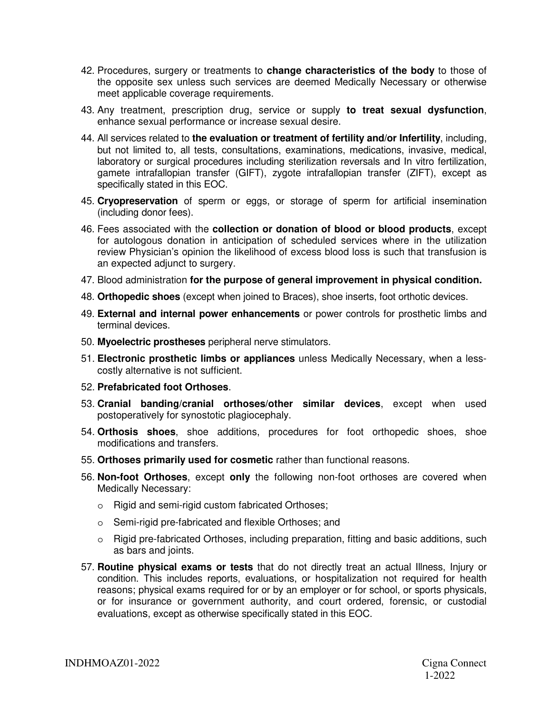- 42. Procedures, surgery or treatments to **change characteristics of the body** to those of the opposite sex unless such services are deemed Medically Necessary or otherwise meet applicable coverage requirements.
- 43. Any treatment, prescription drug, service or supply **to treat sexual dysfunction**, enhance sexual performance or increase sexual desire.
- 44. All services related to **the evaluation or treatment of fertility and/or Infertility**, including, but not limited to, all tests, consultations, examinations, medications, invasive, medical, laboratory or surgical procedures including sterilization reversals and In vitro fertilization, gamete intrafallopian transfer (GIFT), zygote intrafallopian transfer (ZIFT), except as specifically stated in this EOC.
- 45. **Cryopreservation** of sperm or eggs, or storage of sperm for artificial insemination (including donor fees).
- 46. Fees associated with the **collection or donation of blood or blood products**, except for autologous donation in anticipation of scheduled services where in the utilization review Physician's opinion the likelihood of excess blood loss is such that transfusion is an expected adjunct to surgery.
- 47. Blood administration **for the purpose of general improvement in physical condition.**
- 48. **Orthopedic shoes** (except when joined to Braces), shoe inserts, foot orthotic devices.
- 49. **External and internal power enhancements** or power controls for prosthetic limbs and terminal devices.
- 50. **Myoelectric prostheses** peripheral nerve stimulators.
- 51. **Electronic prosthetic limbs or appliances** unless Medically Necessary, when a lesscostly alternative is not sufficient.
- 52. **Prefabricated foot Orthoses**.
- 53. **Cranial banding/cranial orthoses/other similar devices**, except when used postoperatively for synostotic plagiocephaly.
- 54. **Orthosis shoes**, shoe additions, procedures for foot orthopedic shoes, shoe modifications and transfers.
- 55. **Orthoses primarily used for cosmetic** rather than functional reasons.
- 56. **Non-foot Orthoses**, except **only** the following non-foot orthoses are covered when Medically Necessary:
	- o Rigid and semi-rigid custom fabricated Orthoses;
	- o Semi-rigid pre-fabricated and flexible Orthoses; and
	- o Rigid pre-fabricated Orthoses, including preparation, fitting and basic additions, such as bars and joints.
- 57. **Routine physical exams or tests** that do not directly treat an actual Illness, Injury or condition. This includes reports, evaluations, or hospitalization not required for health reasons; physical exams required for or by an employer or for school, or sports physicals, or for insurance or government authority, and court ordered, forensic, or custodial evaluations, except as otherwise specifically stated in this EOC.